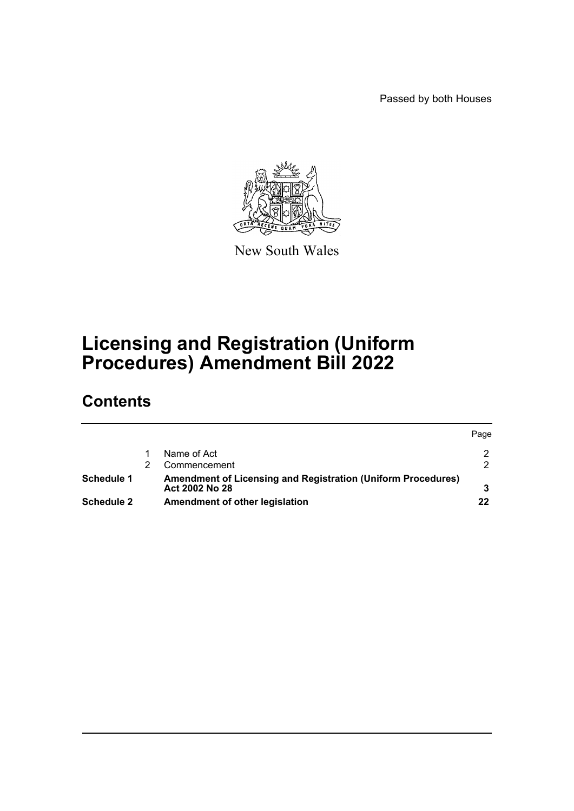Passed by both Houses



New South Wales

# **Licensing and Registration (Uniform Procedures) Amendment Bill 2022**

# **Contents**

|                   |                                                                     | Page |
|-------------------|---------------------------------------------------------------------|------|
|                   | Name of Act                                                         |      |
|                   | Commencement                                                        |      |
| Schedule 1        | <b>Amendment of Licensing and Registration (Uniform Procedures)</b> |      |
|                   | Act 2002 No 28                                                      |      |
| <b>Schedule 2</b> | Amendment of other legislation                                      | 22   |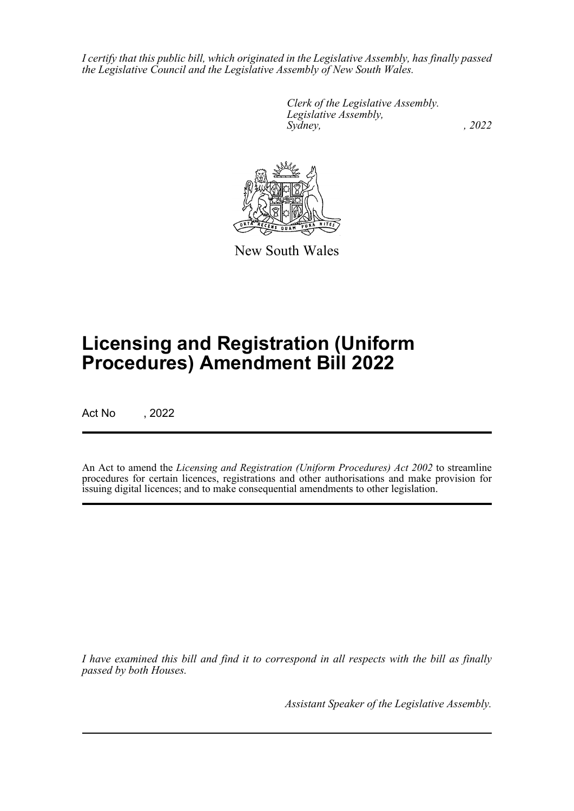*I certify that this public bill, which originated in the Legislative Assembly, has finally passed the Legislative Council and the Legislative Assembly of New South Wales.*

> *Clerk of the Legislative Assembly. Legislative Assembly, Sydney, , 2022*



New South Wales

# **Licensing and Registration (Uniform Procedures) Amendment Bill 2022**

Act No , 2022

An Act to amend the *Licensing and Registration (Uniform Procedures) Act 2002* to streamline procedures for certain licences, registrations and other authorisations and make provision for issuing digital licences; and to make consequential amendments to other legislation.

*I have examined this bill and find it to correspond in all respects with the bill as finally passed by both Houses.*

*Assistant Speaker of the Legislative Assembly.*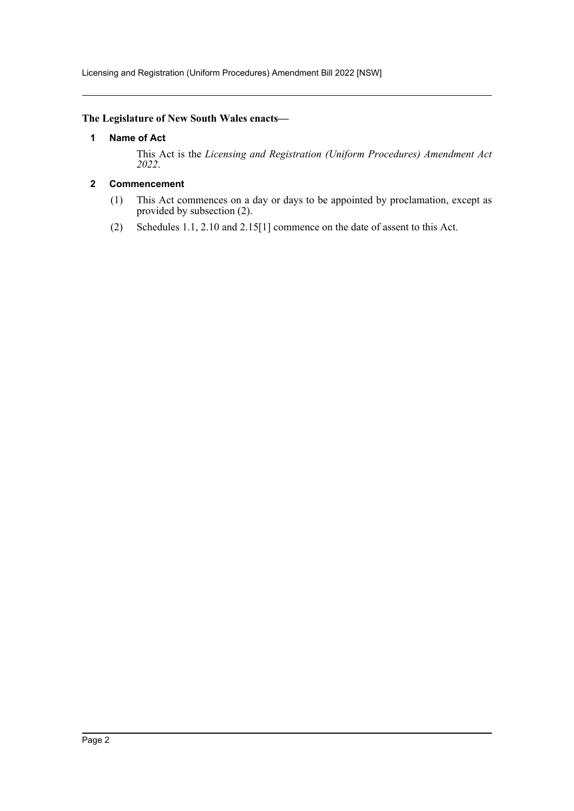Licensing and Registration (Uniform Procedures) Amendment Bill 2022 [NSW]

# <span id="page-2-0"></span>**The Legislature of New South Wales enacts—**

## **1 Name of Act**

This Act is the *Licensing and Registration (Uniform Procedures) Amendment Act 2022*.

# <span id="page-2-1"></span>**2 Commencement**

- (1) This Act commences on a day or days to be appointed by proclamation, except as provided by subsection (2).
- (2) Schedules 1.1, 2.10 and 2.15[1] commence on the date of assent to this Act.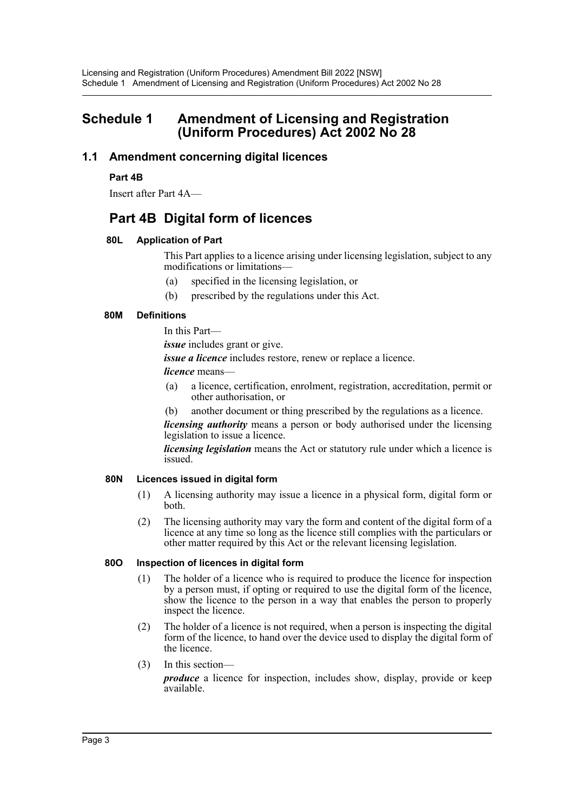# <span id="page-3-0"></span>**Schedule 1 Amendment of Licensing and Registration (Uniform Procedures) Act 2002 No 28**

# **1.1 Amendment concerning digital licences**

# **Part 4B**

Insert after Part 4A—

# **Part 4B Digital form of licences**

## **80L Application of Part**

This Part applies to a licence arising under licensing legislation, subject to any modifications or limitations—

- (a) specified in the licensing legislation, or
- (b) prescribed by the regulations under this Act.

## **80M Definitions**

In this Part—

*issue* includes grant or give.

*issue a licence* includes restore, renew or replace a licence.

*licence* means—

- (a) a licence, certification, enrolment, registration, accreditation, permit or other authorisation, or
- (b) another document or thing prescribed by the regulations as a licence.

*licensing authority* means a person or body authorised under the licensing legislation to issue a licence.

*licensing legislation* means the Act or statutory rule under which a licence is issued.

# **80N Licences issued in digital form**

- (1) A licensing authority may issue a licence in a physical form, digital form or both.
- (2) The licensing authority may vary the form and content of the digital form of a licence at any time so long as the licence still complies with the particulars or other matter required by this Act or the relevant licensing legislation.

#### **80O Inspection of licences in digital form**

- (1) The holder of a licence who is required to produce the licence for inspection by a person must, if opting or required to use the digital form of the licence, show the licence to the person in a way that enables the person to properly inspect the licence.
- (2) The holder of a licence is not required, when a person is inspecting the digital form of the licence, to hand over the device used to display the digital form of the licence.
- (3) In this section—

*produce* a licence for inspection, includes show, display, provide or keep available.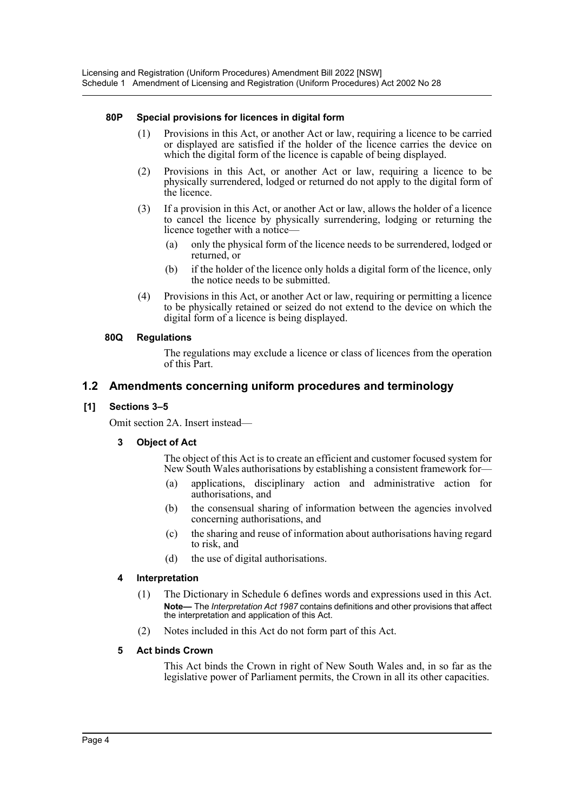#### **80P Special provisions for licences in digital form**

- (1) Provisions in this Act, or another Act or law, requiring a licence to be carried or displayed are satisfied if the holder of the licence carries the device on which the digital form of the licence is capable of being displayed.
- (2) Provisions in this Act, or another Act or law, requiring a licence to be physically surrendered, lodged or returned do not apply to the digital form of the licence.
- (3) If a provision in this Act, or another Act or law, allows the holder of a licence to cancel the licence by physically surrendering, lodging or returning the licence together with a notice—
	- (a) only the physical form of the licence needs to be surrendered, lodged or returned, or
	- (b) if the holder of the licence only holds a digital form of the licence, only the notice needs to be submitted.
- (4) Provisions in this Act, or another Act or law, requiring or permitting a licence to be physically retained or seized do not extend to the device on which the digital form of a licence is being displayed.

#### **80Q Regulations**

The regulations may exclude a licence or class of licences from the operation of this Part.

# **1.2 Amendments concerning uniform procedures and terminology**

## **[1] Sections 3–5**

Omit section 2A. Insert instead—

# **3 Object of Act**

The object of this Act is to create an efficient and customer focused system for New South Wales authorisations by establishing a consistent framework for—

- (a) applications, disciplinary action and administrative action for authorisations, and
- (b) the consensual sharing of information between the agencies involved concerning authorisations, and
- (c) the sharing and reuse of information about authorisations having regard to risk, and
- (d) the use of digital authorisations.

#### **4 Interpretation**

- (1) The Dictionary in Schedule 6 defines words and expressions used in this Act. **Note—** The *Interpretation Act 1987* contains definitions and other provisions that affect the interpretation and application of this Act.
- (2) Notes included in this Act do not form part of this Act.

# **5 Act binds Crown**

This Act binds the Crown in right of New South Wales and, in so far as the legislative power of Parliament permits, the Crown in all its other capacities.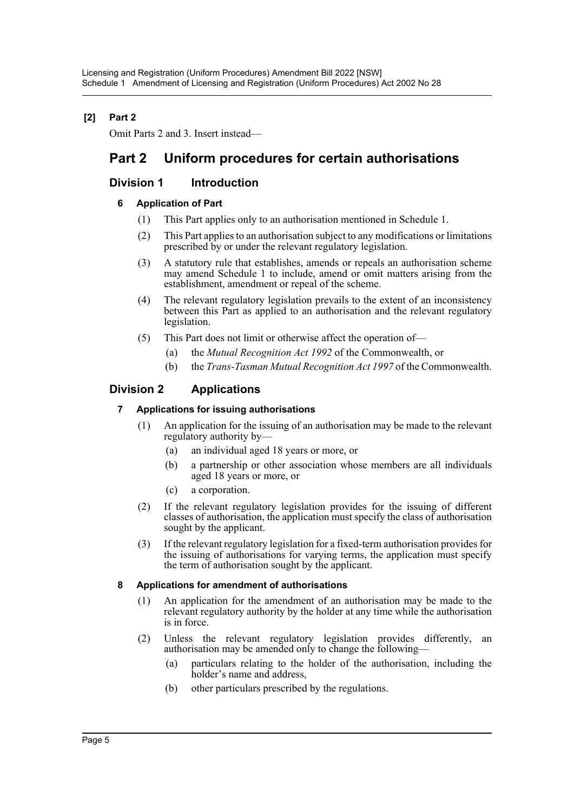# **[2] Part 2**

Omit Parts 2 and 3. Insert instead—

# **Part 2 Uniform procedures for certain authorisations**

# **Division 1 Introduction**

# **6 Application of Part**

- (1) This Part applies only to an authorisation mentioned in Schedule 1.
- (2) This Part applies to an authorisation subject to any modifications or limitations prescribed by or under the relevant regulatory legislation.
- (3) A statutory rule that establishes, amends or repeals an authorisation scheme may amend Schedule 1 to include, amend or omit matters arising from the establishment, amendment or repeal of the scheme.
- (4) The relevant regulatory legislation prevails to the extent of an inconsistency between this Part as applied to an authorisation and the relevant regulatory legislation.
- (5) This Part does not limit or otherwise affect the operation of—
	- (a) the *Mutual Recognition Act 1992* of the Commonwealth, or
	- (b) the *Trans-Tasman Mutual Recognition Act 1997* of the Commonwealth.

# **Division 2 Applications**

# **7 Applications for issuing authorisations**

- (1) An application for the issuing of an authorisation may be made to the relevant regulatory authority by—
	- (a) an individual aged 18 years or more, or
	- (b) a partnership or other association whose members are all individuals aged 18 years or more, or
	- (c) a corporation.
- (2) If the relevant regulatory legislation provides for the issuing of different classes of authorisation, the application must specify the class of authorisation sought by the applicant.
- (3) If the relevant regulatory legislation for a fixed-term authorisation provides for the issuing of authorisations for varying terms, the application must specify the term of authorisation sought by the applicant.

# **8 Applications for amendment of authorisations**

- (1) An application for the amendment of an authorisation may be made to the relevant regulatory authority by the holder at any time while the authorisation is in force.
- (2) Unless the relevant regulatory legislation provides differently, an authorisation may be amended only to change the following—
	- (a) particulars relating to the holder of the authorisation, including the holder's name and address,
	- (b) other particulars prescribed by the regulations.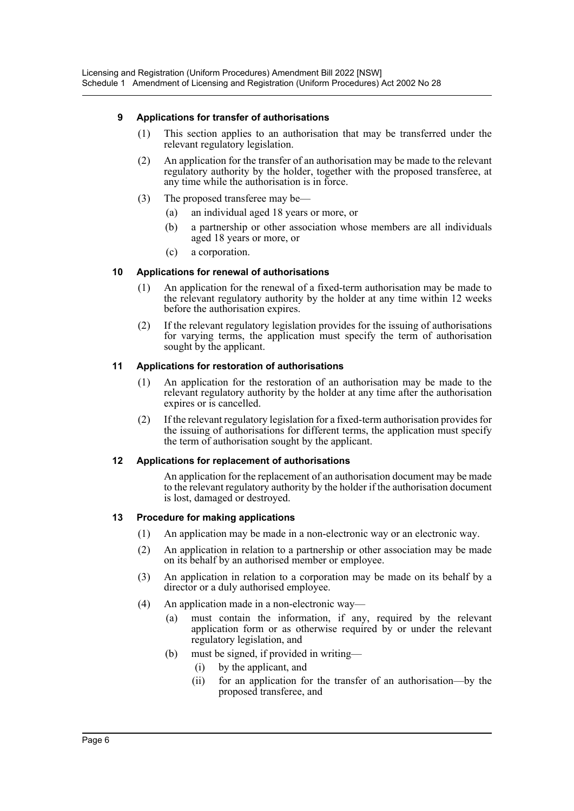# **9 Applications for transfer of authorisations**

- (1) This section applies to an authorisation that may be transferred under the relevant regulatory legislation.
- (2) An application for the transfer of an authorisation may be made to the relevant regulatory authority by the holder, together with the proposed transferee, at any time while the authorisation is in force.
- (3) The proposed transferee may be—
	- (a) an individual aged 18 years or more, or
	- (b) a partnership or other association whose members are all individuals aged 18 years or more, or
	- (c) a corporation.

## **10 Applications for renewal of authorisations**

- (1) An application for the renewal of a fixed-term authorisation may be made to the relevant regulatory authority by the holder at any time within 12 weeks before the authorisation expires.
- (2) If the relevant regulatory legislation provides for the issuing of authorisations for varying terms, the application must specify the term of authorisation sought by the applicant.

## **11 Applications for restoration of authorisations**

- (1) An application for the restoration of an authorisation may be made to the relevant regulatory authority by the holder at any time after the authorisation expires or is cancelled.
- (2) If the relevant regulatory legislation for a fixed-term authorisation provides for the issuing of authorisations for different terms, the application must specify the term of authorisation sought by the applicant.

#### **12 Applications for replacement of authorisations**

An application for the replacement of an authorisation document may be made to the relevant regulatory authority by the holder if the authorisation document is lost, damaged or destroyed.

#### **13 Procedure for making applications**

- (1) An application may be made in a non-electronic way or an electronic way.
- (2) An application in relation to a partnership or other association may be made on its behalf by an authorised member or employee.
- (3) An application in relation to a corporation may be made on its behalf by a director or a duly authorised employee.
- (4) An application made in a non-electronic way—
	- (a) must contain the information, if any, required by the relevant application form or as otherwise required by or under the relevant regulatory legislation, and
	- (b) must be signed, if provided in writing—
		- (i) by the applicant, and
		- (ii) for an application for the transfer of an authorisation—by the proposed transferee, and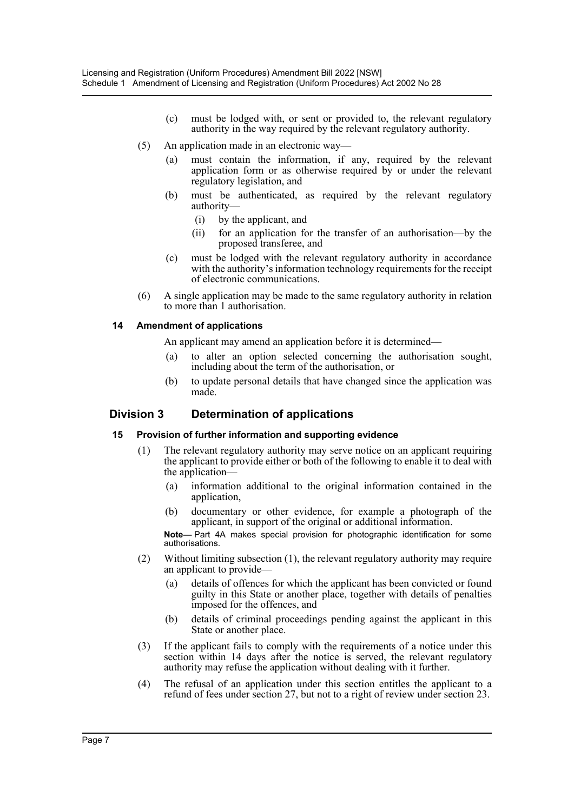- (c) must be lodged with, or sent or provided to, the relevant regulatory authority in the way required by the relevant regulatory authority.
- (5) An application made in an electronic way—
	- (a) must contain the information, if any, required by the relevant application form or as otherwise required by or under the relevant regulatory legislation, and
	- (b) must be authenticated, as required by the relevant regulatory authority—
		- (i) by the applicant, and
		- (ii) for an application for the transfer of an authorisation—by the proposed transferee, and
	- (c) must be lodged with the relevant regulatory authority in accordance with the authority's information technology requirements for the receipt of electronic communications.
- (6) A single application may be made to the same regulatory authority in relation to more than 1 authorisation.

#### **14 Amendment of applications**

An applicant may amend an application before it is determined—

- to alter an option selected concerning the authorisation sought, including about the term of the authorisation, or
- (b) to update personal details that have changed since the application was made.

# **Division 3 Determination of applications**

#### **15 Provision of further information and supporting evidence**

- (1) The relevant regulatory authority may serve notice on an applicant requiring the applicant to provide either or both of the following to enable it to deal with the application—
	- (a) information additional to the original information contained in the application,
	- (b) documentary or other evidence, for example a photograph of the applicant, in support of the original or additional information.

**Note—** Part 4A makes special provision for photographic identification for some authorisations.

- (2) Without limiting subsection (1), the relevant regulatory authority may require an applicant to provide—
	- (a) details of offences for which the applicant has been convicted or found guilty in this State or another place, together with details of penalties imposed for the offences, and
	- (b) details of criminal proceedings pending against the applicant in this State or another place.
- (3) If the applicant fails to comply with the requirements of a notice under this section within 14 days after the notice is served, the relevant regulatory authority may refuse the application without dealing with it further.
- (4) The refusal of an application under this section entitles the applicant to a refund of fees under section 27, but not to a right of review under section 23.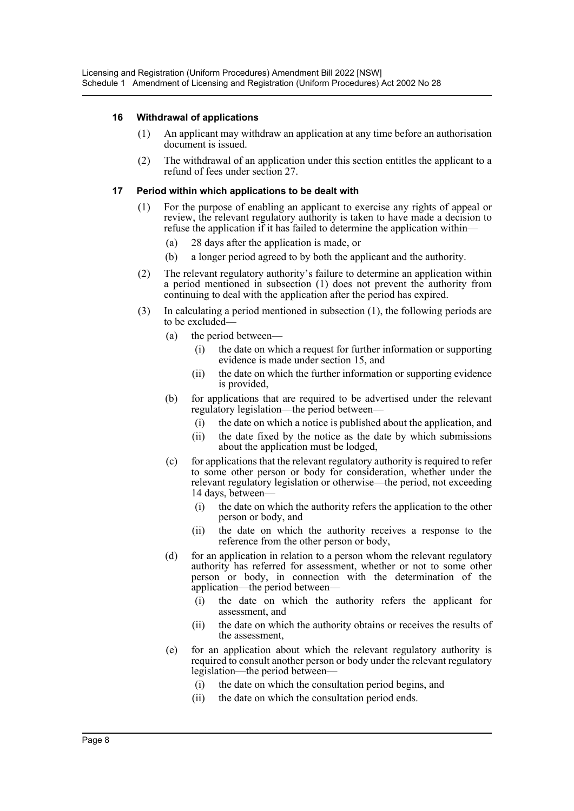## **16 Withdrawal of applications**

- (1) An applicant may withdraw an application at any time before an authorisation document is issued.
- (2) The withdrawal of an application under this section entitles the applicant to a refund of fees under section 27.

#### **17 Period within which applications to be dealt with**

- (1) For the purpose of enabling an applicant to exercise any rights of appeal or review, the relevant regulatory authority is taken to have made a decision to refuse the application if it has failed to determine the application within—
	- (a) 28 days after the application is made, or
	- (b) a longer period agreed to by both the applicant and the authority.
- (2) The relevant regulatory authority's failure to determine an application within a period mentioned in subsection (1) does not prevent the authority from continuing to deal with the application after the period has expired.
- (3) In calculating a period mentioned in subsection (1), the following periods are to be excluded—
	- (a) the period between—
		- (i) the date on which a request for further information or supporting evidence is made under section 15, and
		- (ii) the date on which the further information or supporting evidence is provided,
	- (b) for applications that are required to be advertised under the relevant regulatory legislation—the period between—
		- (i) the date on which a notice is published about the application, and
		- (ii) the date fixed by the notice as the date by which submissions about the application must be lodged,
	- (c) for applications that the relevant regulatory authority is required to refer to some other person or body for consideration, whether under the relevant regulatory legislation or otherwise—the period, not exceeding 14 days, between—
		- (i) the date on which the authority refers the application to the other person or body, and
		- (ii) the date on which the authority receives a response to the reference from the other person or body,
	- (d) for an application in relation to a person whom the relevant regulatory authority has referred for assessment, whether or not to some other person or body, in connection with the determination of the application—the period between—
		- (i) the date on which the authority refers the applicant for assessment, and
		- (ii) the date on which the authority obtains or receives the results of the assessment,
	- (e) for an application about which the relevant regulatory authority is required to consult another person or body under the relevant regulatory legislation—the period between—
		- (i) the date on which the consultation period begins, and
		- (ii) the date on which the consultation period ends.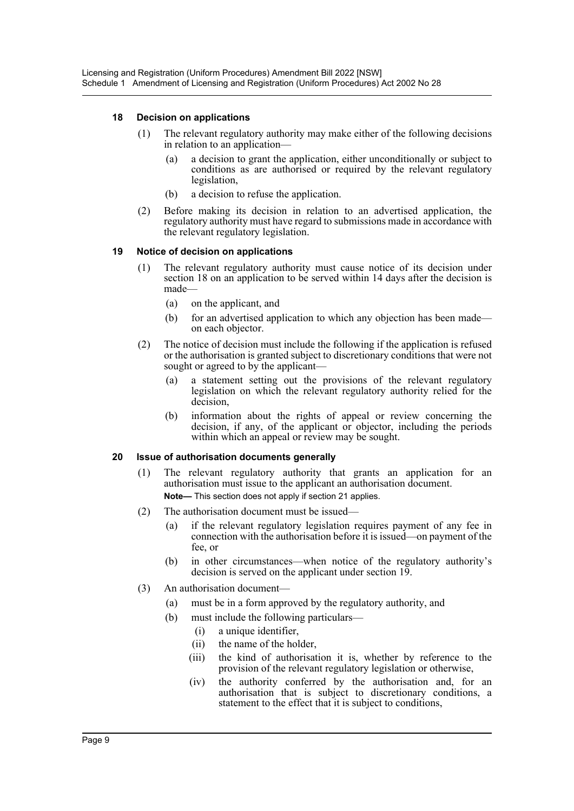## **18 Decision on applications**

- (1) The relevant regulatory authority may make either of the following decisions in relation to an application—
	- (a) a decision to grant the application, either unconditionally or subject to conditions as are authorised or required by the relevant regulatory legislation,
	- (b) a decision to refuse the application.
- (2) Before making its decision in relation to an advertised application, the regulatory authority must have regard to submissions made in accordance with the relevant regulatory legislation.

## **19 Notice of decision on applications**

- (1) The relevant regulatory authority must cause notice of its decision under section 18 on an application to be served within 14 days after the decision is made—
	- (a) on the applicant, and
	- (b) for an advertised application to which any objection has been made on each objector.
- (2) The notice of decision must include the following if the application is refused or the authorisation is granted subject to discretionary conditions that were not sought or agreed to by the applicant—
	- (a) a statement setting out the provisions of the relevant regulatory legislation on which the relevant regulatory authority relied for the decision,
	- (b) information about the rights of appeal or review concerning the decision, if any, of the applicant or objector, including the periods within which an appeal or review may be sought.

#### **20 Issue of authorisation documents generally**

- (1) The relevant regulatory authority that grants an application for an authorisation must issue to the applicant an authorisation document. **Note—** This section does not apply if section 21 applies.
- (2) The authorisation document must be issued—
	- (a) if the relevant regulatory legislation requires payment of any fee in connection with the authorisation before it is issued—on payment of the fee, or
	- (b) in other circumstances—when notice of the regulatory authority's decision is served on the applicant under section 19.
- (3) An authorisation document—
	- (a) must be in a form approved by the regulatory authority, and
	- (b) must include the following particulars—
		- (i) a unique identifier,
		- (ii) the name of the holder,
		- (iii) the kind of authorisation it is, whether by reference to the provision of the relevant regulatory legislation or otherwise,
		- (iv) the authority conferred by the authorisation and, for an authorisation that is subject to discretionary conditions, a statement to the effect that it is subject to conditions,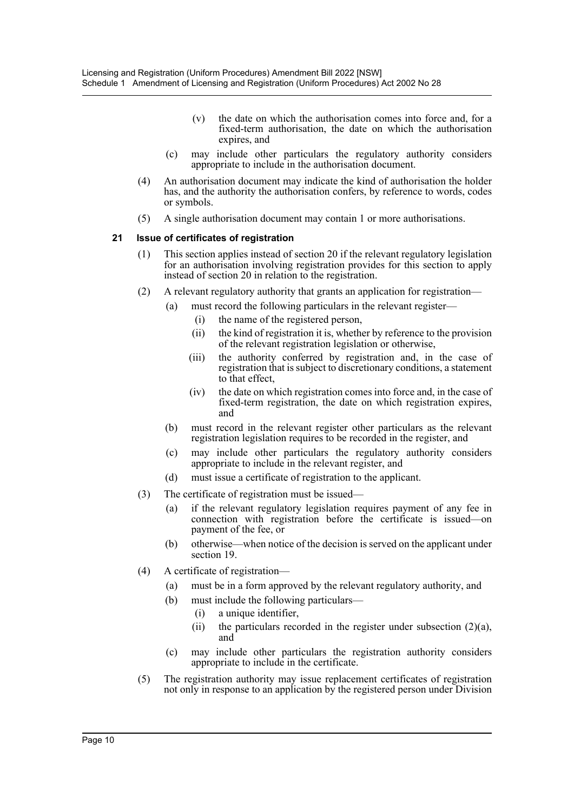- (v) the date on which the authorisation comes into force and, for a fixed-term authorisation, the date on which the authorisation expires, and
- (c) may include other particulars the regulatory authority considers appropriate to include in the authorisation document.
- (4) An authorisation document may indicate the kind of authorisation the holder has, and the authority the authorisation confers, by reference to words, codes or symbols.
- (5) A single authorisation document may contain 1 or more authorisations.

#### **21 Issue of certificates of registration**

- (1) This section applies instead of section 20 if the relevant regulatory legislation for an authorisation involving registration provides for this section to apply instead of section 20 in relation to the registration.
- (2) A relevant regulatory authority that grants an application for registration—
	- (a) must record the following particulars in the relevant register—
		- (i) the name of the registered person,
		- (ii) the kind of registration it is, whether by reference to the provision of the relevant registration legislation or otherwise,
		- (iii) the authority conferred by registration and, in the case of registration that is subject to discretionary conditions, a statement to that effect,
		- (iv) the date on which registration comes into force and, in the case of fixed-term registration, the date on which registration expires, and
	- (b) must record in the relevant register other particulars as the relevant registration legislation requires to be recorded in the register, and
	- (c) may include other particulars the regulatory authority considers appropriate to include in the relevant register, and
	- (d) must issue a certificate of registration to the applicant.
- (3) The certificate of registration must be issued—
	- (a) if the relevant regulatory legislation requires payment of any fee in connection with registration before the certificate is issued—on payment of the fee, or
	- (b) otherwise—when notice of the decision is served on the applicant under section 19.
- (4) A certificate of registration—
	- (a) must be in a form approved by the relevant regulatory authority, and
	- (b) must include the following particulars—
		- (i) a unique identifier,
		- (ii) the particulars recorded in the register under subsection  $(2)(a)$ , and
	- (c) may include other particulars the registration authority considers appropriate to include in the certificate.
- (5) The registration authority may issue replacement certificates of registration not only in response to an application by the registered person under Division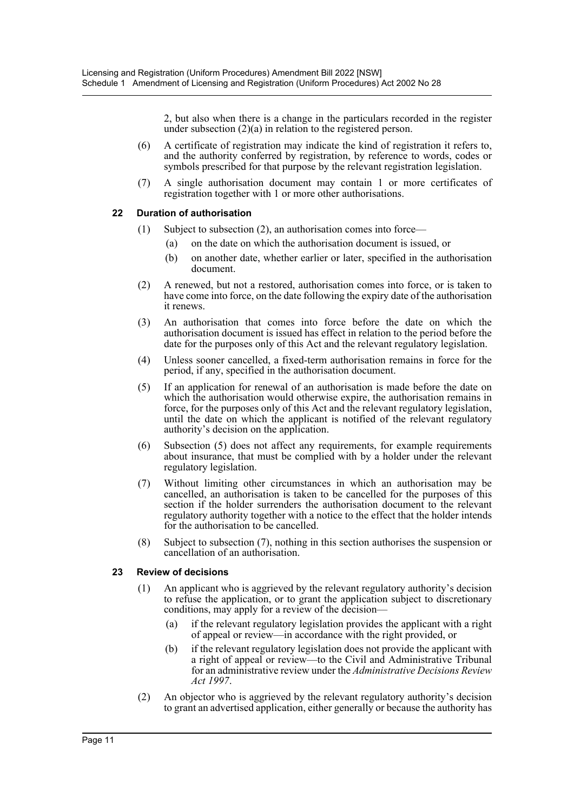2, but also when there is a change in the particulars recorded in the register under subsection (2)(a) in relation to the registered person.

- (6) A certificate of registration may indicate the kind of registration it refers to, and the authority conferred by registration, by reference to words, codes or symbols prescribed for that purpose by the relevant registration legislation.
- (7) A single authorisation document may contain 1 or more certificates of registration together with 1 or more other authorisations.

## **22 Duration of authorisation**

- (1) Subject to subsection (2), an authorisation comes into force—
	- (a) on the date on which the authorisation document is issued, or
	- (b) on another date, whether earlier or later, specified in the authorisation document.
- (2) A renewed, but not a restored, authorisation comes into force, or is taken to have come into force, on the date following the expiry date of the authorisation it renews.
- (3) An authorisation that comes into force before the date on which the authorisation document is issued has effect in relation to the period before the date for the purposes only of this Act and the relevant regulatory legislation.
- (4) Unless sooner cancelled, a fixed-term authorisation remains in force for the period, if any, specified in the authorisation document.
- (5) If an application for renewal of an authorisation is made before the date on which the authorisation would otherwise expire, the authorisation remains in force, for the purposes only of this Act and the relevant regulatory legislation, until the date on which the applicant is notified of the relevant regulatory authority's decision on the application.
- (6) Subsection (5) does not affect any requirements, for example requirements about insurance, that must be complied with by a holder under the relevant regulatory legislation.
- (7) Without limiting other circumstances in which an authorisation may be cancelled, an authorisation is taken to be cancelled for the purposes of this section if the holder surrenders the authorisation document to the relevant regulatory authority together with a notice to the effect that the holder intends for the authorisation to be cancelled.
- (8) Subject to subsection (7), nothing in this section authorises the suspension or cancellation of an authorisation.

# **23 Review of decisions**

- (1) An applicant who is aggrieved by the relevant regulatory authority's decision to refuse the application, or to grant the application subject to discretionary conditions, may apply for a review of the decision—
	- (a) if the relevant regulatory legislation provides the applicant with a right of appeal or review—in accordance with the right provided, or
	- (b) if the relevant regulatory legislation does not provide the applicant with a right of appeal or review—to the Civil and Administrative Tribunal for an administrative review under the *Administrative Decisions Review Act 1997*.
- (2) An objector who is aggrieved by the relevant regulatory authority's decision to grant an advertised application, either generally or because the authority has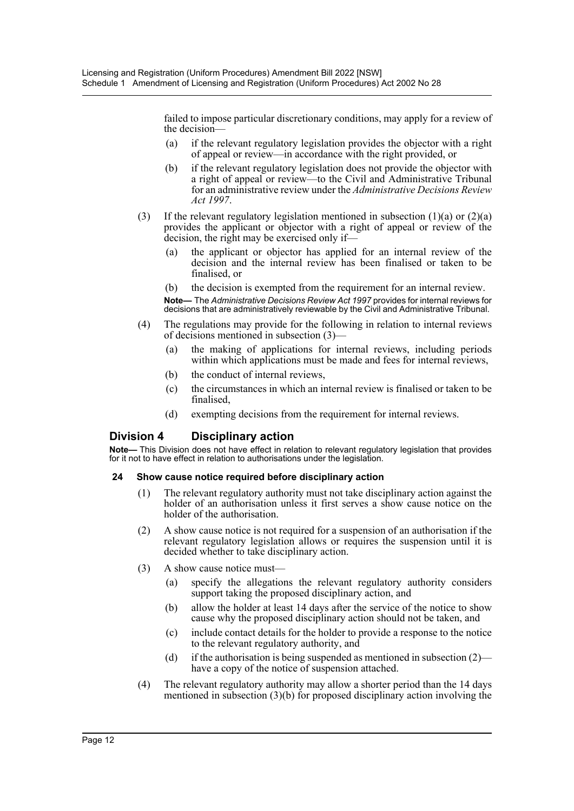failed to impose particular discretionary conditions, may apply for a review of the decision—

- (a) if the relevant regulatory legislation provides the objector with a right of appeal or review—in accordance with the right provided, or
- (b) if the relevant regulatory legislation does not provide the objector with a right of appeal or review—to the Civil and Administrative Tribunal for an administrative review under the *Administrative Decisions Review Act 1997*.
- (3) If the relevant regulatory legislation mentioned in subsection  $(1)(a)$  or  $(2)(a)$ provides the applicant or objector with a right of appeal or review of the decision, the right may be exercised only if—
	- (a) the applicant or objector has applied for an internal review of the decision and the internal review has been finalised or taken to be finalised, or
	- (b) the decision is exempted from the requirement for an internal review.

**Note—** The *Administrative Decisions Review Act 1997* provides for internal reviews for decisions that are administratively reviewable by the Civil and Administrative Tribunal.

- (4) The regulations may provide for the following in relation to internal reviews of decisions mentioned in subsection (3)—
	- (a) the making of applications for internal reviews, including periods within which applications must be made and fees for internal reviews,
	- (b) the conduct of internal reviews,
	- (c) the circumstances in which an internal review is finalised or taken to be finalised,
	- (d) exempting decisions from the requirement for internal reviews.

# **Division 4 Disciplinary action**

**Note—** This Division does not have effect in relation to relevant regulatory legislation that provides for it not to have effect in relation to authorisations under the legislation.

#### **24 Show cause notice required before disciplinary action**

- (1) The relevant regulatory authority must not take disciplinary action against the holder of an authorisation unless it first serves a show cause notice on the holder of the authorisation.
- (2) A show cause notice is not required for a suspension of an authorisation if the relevant regulatory legislation allows or requires the suspension until it is decided whether to take disciplinary action.
- (3) A show cause notice must—
	- (a) specify the allegations the relevant regulatory authority considers support taking the proposed disciplinary action, and
	- (b) allow the holder at least 14 days after the service of the notice to show cause why the proposed disciplinary action should not be taken, and
	- (c) include contact details for the holder to provide a response to the notice to the relevant regulatory authority, and
	- (d) if the authorisation is being suspended as mentioned in subsection  $(2)$  have a copy of the notice of suspension attached.
- (4) The relevant regulatory authority may allow a shorter period than the 14 days mentioned in subsection (3)(b) for proposed disciplinary action involving the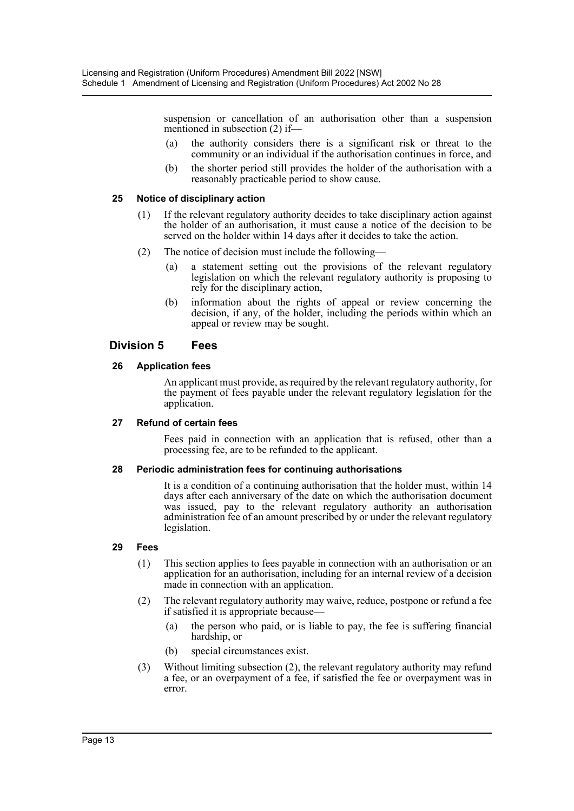suspension or cancellation of an authorisation other than a suspension mentioned in subsection (2) if—

- (a) the authority considers there is a significant risk or threat to the community or an individual if the authorisation continues in force, and
- (b) the shorter period still provides the holder of the authorisation with a reasonably practicable period to show cause.

#### **25 Notice of disciplinary action**

- (1) If the relevant regulatory authority decides to take disciplinary action against the holder of an authorisation, it must cause a notice of the decision to be served on the holder within 14 days after it decides to take the action.
- (2) The notice of decision must include the following—
	- (a) a statement setting out the provisions of the relevant regulatory legislation on which the relevant regulatory authority is proposing to rely for the disciplinary action,
	- (b) information about the rights of appeal or review concerning the decision, if any, of the holder, including the periods within which an appeal or review may be sought.

# **Division 5 Fees**

#### **26 Application fees**

An applicant must provide, as required by the relevant regulatory authority, for the payment of fees payable under the relevant regulatory legislation for the application.

#### **27 Refund of certain fees**

Fees paid in connection with an application that is refused, other than a processing fee, are to be refunded to the applicant.

#### **28 Periodic administration fees for continuing authorisations**

It is a condition of a continuing authorisation that the holder must, within 14 days after each anniversary of the date on which the authorisation document was issued, pay to the relevant regulatory authority an authorisation administration fee of an amount prescribed by or under the relevant regulatory legislation.

#### **29 Fees**

- (1) This section applies to fees payable in connection with an authorisation or an application for an authorisation, including for an internal review of a decision made in connection with an application.
- (2) The relevant regulatory authority may waive, reduce, postpone or refund a fee if satisfied it is appropriate because—
	- (a) the person who paid, or is liable to pay, the fee is suffering financial hardship, or
	- (b) special circumstances exist.
- (3) Without limiting subsection (2), the relevant regulatory authority may refund a fee, or an overpayment of a fee, if satisfied the fee or overpayment was in error.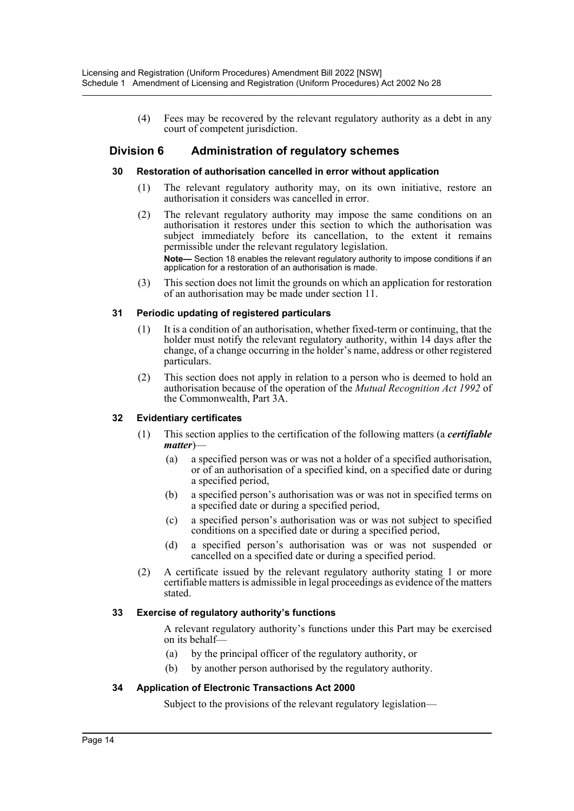(4) Fees may be recovered by the relevant regulatory authority as a debt in any court of competent jurisdiction.

# **Division 6 Administration of regulatory schemes**

#### **30 Restoration of authorisation cancelled in error without application**

- (1) The relevant regulatory authority may, on its own initiative, restore an authorisation it considers was cancelled in error.
- (2) The relevant regulatory authority may impose the same conditions on an authorisation it restores under this section to which the authorisation was subject immediately before its cancellation, to the extent it remains permissible under the relevant regulatory legislation. **Note—** Section 18 enables the relevant regulatory authority to impose conditions if an application for a restoration of an authorisation is made.
- (3) This section does not limit the grounds on which an application for restoration of an authorisation may be made under section 11.

#### **31 Periodic updating of registered particulars**

- (1) It is a condition of an authorisation, whether fixed-term or continuing, that the holder must notify the relevant regulatory authority, within 14 days after the change, of a change occurring in the holder's name, address or other registered particulars.
- (2) This section does not apply in relation to a person who is deemed to hold an authorisation because of the operation of the *Mutual Recognition Act 1992* of the Commonwealth, Part 3A.

#### **32 Evidentiary certificates**

- (1) This section applies to the certification of the following matters (a *certifiable matter*)—
	- (a) a specified person was or was not a holder of a specified authorisation, or of an authorisation of a specified kind, on a specified date or during a specified period,
	- (b) a specified person's authorisation was or was not in specified terms on a specified date or during a specified period,
	- (c) a specified person's authorisation was or was not subject to specified conditions on a specified date or during a specified period,
	- (d) a specified person's authorisation was or was not suspended or cancelled on a specified date or during a specified period.
- (2) A certificate issued by the relevant regulatory authority stating 1 or more certifiable matters is admissible in legal proceedings as evidence of the matters stated.

#### **33 Exercise of regulatory authority's functions**

A relevant regulatory authority's functions under this Part may be exercised on its behalf—

- (a) by the principal officer of the regulatory authority, or
- (b) by another person authorised by the regulatory authority.

#### **34 Application of Electronic Transactions Act 2000**

Subject to the provisions of the relevant regulatory legislation—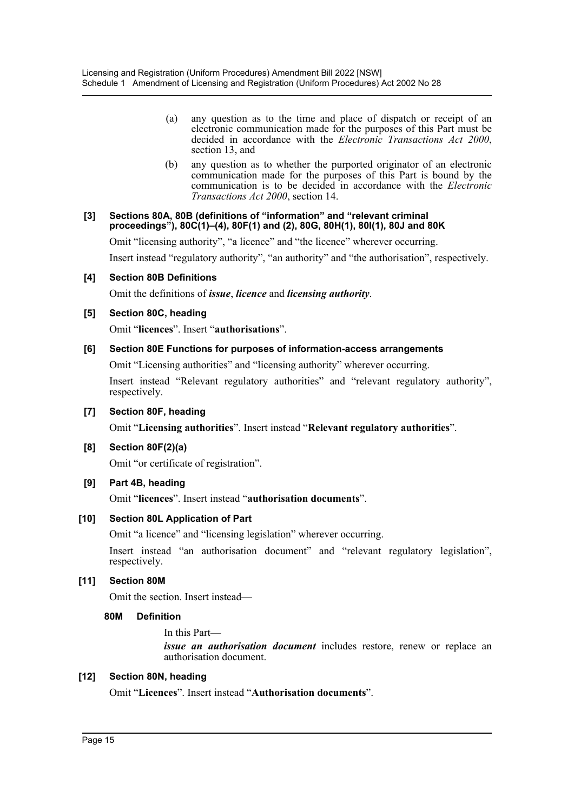- (a) any question as to the time and place of dispatch or receipt of an electronic communication made for the purposes of this Part must be decided in accordance with the *Electronic Transactions Act 2000*, section 13, and
- (b) any question as to whether the purported originator of an electronic communication made for the purposes of this Part is bound by the communication is to be decided in accordance with the *Electronic Transactions Act 2000*, section 14.

#### **[3] Sections 80A, 80B (definitions of "information" and "relevant criminal proceedings"), 80C(1)–(4), 80F(1) and (2), 80G, 80H(1), 80I(1), 80J and 80K**

Omit "licensing authority", "a licence" and "the licence" wherever occurring.

Insert instead "regulatory authority", "an authority" and "the authorisation", respectively.

#### **[4] Section 80B Definitions**

Omit the definitions of *issue*, *licence* and *licensing authority*.

#### **[5] Section 80C, heading**

Omit "**licences**". Insert "**authorisations**".

#### **[6] Section 80E Functions for purposes of information-access arrangements**

Omit "Licensing authorities" and "licensing authority" wherever occurring.

Insert instead "Relevant regulatory authorities" and "relevant regulatory authority", respectively.

#### **[7] Section 80F, heading**

Omit "**Licensing authorities**". Insert instead "**Relevant regulatory authorities**".

#### **[8] Section 80F(2)(a)**

Omit "or certificate of registration".

#### **[9] Part 4B, heading**

Omit "**licences**". Insert instead "**authorisation documents**".

#### **[10] Section 80L Application of Part**

Omit "a licence" and "licensing legislation" wherever occurring.

Insert instead "an authorisation document" and "relevant regulatory legislation", respectively.

#### **[11] Section 80M**

Omit the section. Insert instead—

#### **80M Definition**

In this Part—

*issue an authorisation document* includes restore, renew or replace an authorisation document.

#### **[12] Section 80N, heading**

Omit "**Licences**". Insert instead "**Authorisation documents**".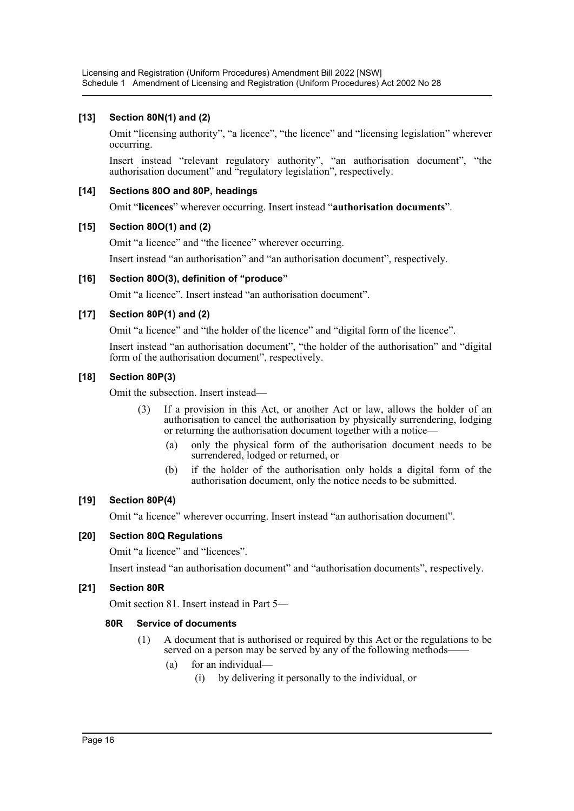# **[13] Section 80N(1) and (2)**

Omit "licensing authority", "a licence", "the licence" and "licensing legislation" wherever occurring.

Insert instead "relevant regulatory authority", "an authorisation document", "the authorisation document" and "regulatory legislation", respectively.

## **[14] Sections 80O and 80P, headings**

Omit "**licences**" wherever occurring. Insert instead "**authorisation documents**".

## **[15] Section 80O(1) and (2)**

Omit "a licence" and "the licence" wherever occurring.

Insert instead "an authorisation" and "an authorisation document", respectively.

## **[16] Section 80O(3), definition of "produce"**

Omit "a licence". Insert instead "an authorisation document".

## **[17] Section 80P(1) and (2)**

Omit "a licence" and "the holder of the licence" and "digital form of the licence".

Insert instead "an authorisation document", "the holder of the authorisation" and "digital form of the authorisation document", respectively.

## **[18] Section 80P(3)**

Omit the subsection. Insert instead—

- (3) If a provision in this Act, or another Act or law, allows the holder of an authorisation to cancel the authorisation by physically surrendering, lodging or returning the authorisation document together with a notice—
	- (a) only the physical form of the authorisation document needs to be surrendered, lodged or returned, or
	- (b) if the holder of the authorisation only holds a digital form of the authorisation document, only the notice needs to be submitted.

## **[19] Section 80P(4)**

Omit "a licence" wherever occurring. Insert instead "an authorisation document".

# **[20] Section 80Q Regulations**

Omit "a licence" and "licences".

Insert instead "an authorisation document" and "authorisation documents", respectively.

# **[21] Section 80R**

Omit section 81. Insert instead in Part 5—

# **80R Service of documents**

- (1) A document that is authorised or required by this Act or the regulations to be served on a person may be served by any of the following methods—
	- (a) for an individual—
		- (i) by delivering it personally to the individual, or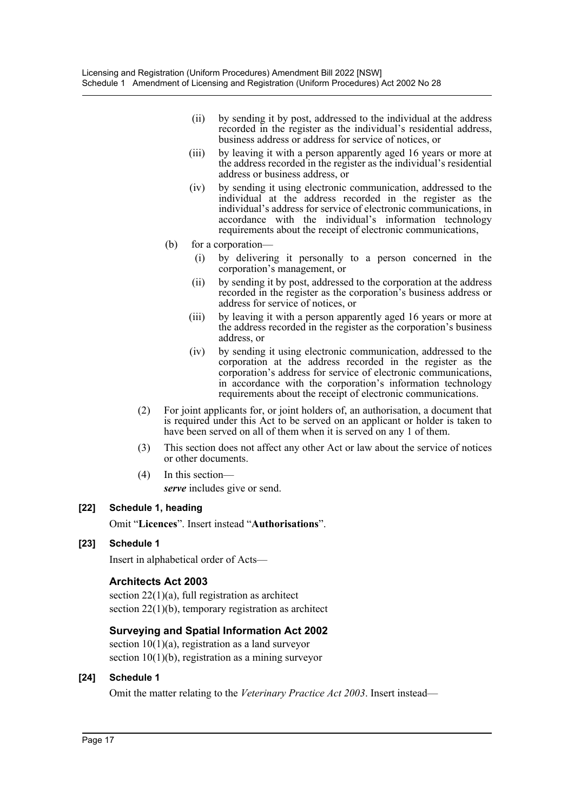- (ii) by sending it by post, addressed to the individual at the address recorded in the register as the individual's residential address, business address or address for service of notices, or
- (iii) by leaving it with a person apparently aged 16 years or more at the address recorded in the register as the individual's residential address or business address, or
- (iv) by sending it using electronic communication, addressed to the individual at the address recorded in the register as the individual's address for service of electronic communications, in accordance with the individual's information technology requirements about the receipt of electronic communications,
- (b) for a corporation—
	- (i) by delivering it personally to a person concerned in the corporation's management, or
	- (ii) by sending it by post, addressed to the corporation at the address recorded in the register as the corporation's business address or address for service of notices, or
	- (iii) by leaving it with a person apparently aged 16 years or more at the address recorded in the register as the corporation's business address, or
	- (iv) by sending it using electronic communication, addressed to the corporation at the address recorded in the register as the corporation's address for service of electronic communications, in accordance with the corporation's information technology requirements about the receipt of electronic communications.
- (2) For joint applicants for, or joint holders of, an authorisation, a document that is required under this Act to be served on an applicant or holder is taken to have been served on all of them when it is served on any 1 of them.
- (3) This section does not affect any other Act or law about the service of notices or other documents.
- (4) In this section *serve* includes give or send.

# **[22] Schedule 1, heading**

Omit "**Licences**". Insert instead "**Authorisations**".

# **[23] Schedule 1**

Insert in alphabetical order of Acts—

# **Architects Act 2003**

section  $22(1)(a)$ , full registration as architect section 22(1)(b), temporary registration as architect

# **Surveying and Spatial Information Act 2002**

section  $10(1)(a)$ , registration as a land surveyor section 10(1)(b), registration as a mining surveyor

# **[24] Schedule 1**

Omit the matter relating to the *Veterinary Practice Act 2003*. Insert instead—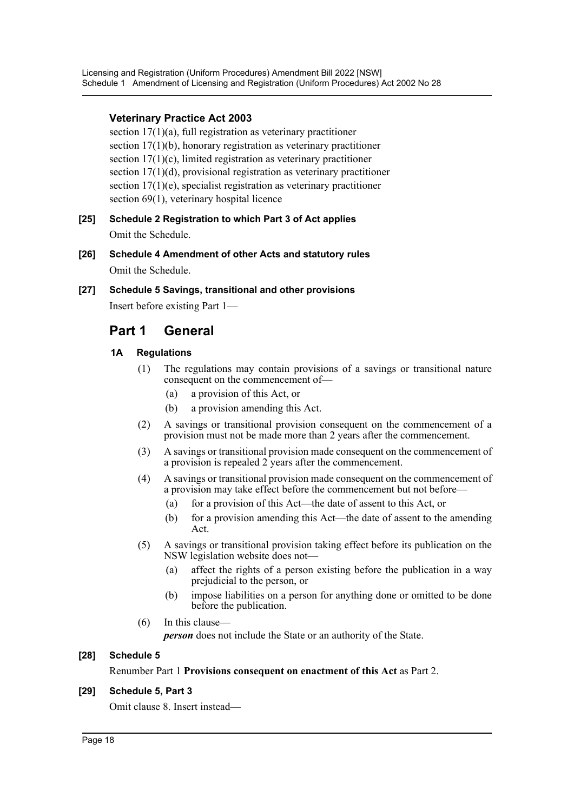# **Veterinary Practice Act 2003**

section 17(1)(a), full registration as veterinary practitioner section 17(1)(b), honorary registration as veterinary practitioner section 17(1)(c), limited registration as veterinary practitioner section 17(1)(d), provisional registration as veterinary practitioner section 17(1)(e), specialist registration as veterinary practitioner section 69(1), veterinary hospital licence

- **[25] Schedule 2 Registration to which Part 3 of Act applies** Omit the Schedule.
- **[26] Schedule 4 Amendment of other Acts and statutory rules** Omit the Schedule.
- **[27] Schedule 5 Savings, transitional and other provisions** Insert before existing Part 1—

# **Part 1 General**

# **1A Regulations**

- (1) The regulations may contain provisions of a savings or transitional nature consequent on the commencement of—
	- (a) a provision of this Act, or
	- (b) a provision amending this Act.
- (2) A savings or transitional provision consequent on the commencement of a provision must not be made more than 2 years after the commencement.
- (3) A savings or transitional provision made consequent on the commencement of a provision is repealed 2 years after the commencement.
- (4) A savings or transitional provision made consequent on the commencement of a provision may take effect before the commencement but not before—
	- (a) for a provision of this Act—the date of assent to this Act, or
	- (b) for a provision amending this Act—the date of assent to the amending Act.
- (5) A savings or transitional provision taking effect before its publication on the NSW legislation website does not—
	- (a) affect the rights of a person existing before the publication in a way prejudicial to the person, or
	- (b) impose liabilities on a person for anything done or omitted to be done before the publication.
- (6) In this clause—

*person* does not include the State or an authority of the State.

# **[28] Schedule 5**

Renumber Part 1 **Provisions consequent on enactment of this Act** as Part 2.

# **[29] Schedule 5, Part 3**

Omit clause 8. Insert instead—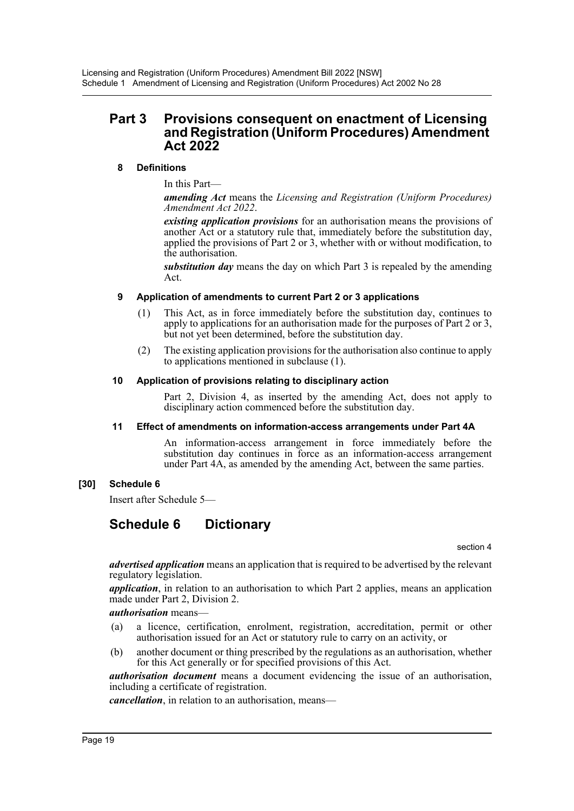# **Part 3 Provisions consequent on enactment of Licensing and Registration (Uniform Procedures) Amendment Act 2022**

# **8 Definitions**

In this Part—

*amending Act* means the *Licensing and Registration (Uniform Procedures) Amendment Act 2022*.

*existing application provisions* for an authorisation means the provisions of another Act or a statutory rule that, immediately before the substitution day, applied the provisions of Part 2 or 3, whether with or without modification, to the authorisation.

*substitution day* means the day on which Part 3 is repealed by the amending Act.

## **9 Application of amendments to current Part 2 or 3 applications**

- (1) This Act, as in force immediately before the substitution day, continues to apply to applications for an authorisation made for the purposes of Part 2 or 3, but not yet been determined, before the substitution day.
- (2) The existing application provisions for the authorisation also continue to apply to applications mentioned in subclause (1).

## **10 Application of provisions relating to disciplinary action**

Part 2, Division 4, as inserted by the amending Act, does not apply to disciplinary action commenced before the substitution day.

#### **11 Effect of amendments on information-access arrangements under Part 4A**

An information-access arrangement in force immediately before the substitution day continues in force as an information-access arrangement under Part 4A, as amended by the amending Act, between the same parties.

# **[30] Schedule 6**

Insert after Schedule 5—

# **Schedule 6 Dictionary**

section 4

*advertised application* means an application that is required to be advertised by the relevant regulatory legislation.

*application*, in relation to an authorisation to which Part 2 applies, means an application made under Part 2, Division 2.

*authorisation* means—

- (a) a licence, certification, enrolment, registration, accreditation, permit or other authorisation issued for an Act or statutory rule to carry on an activity, or
- (b) another document or thing prescribed by the regulations as an authorisation, whether for this Act generally or for specified provisions of this Act.

*authorisation document* means a document evidencing the issue of an authorisation, including a certificate of registration.

*cancellation*, in relation to an authorisation, means—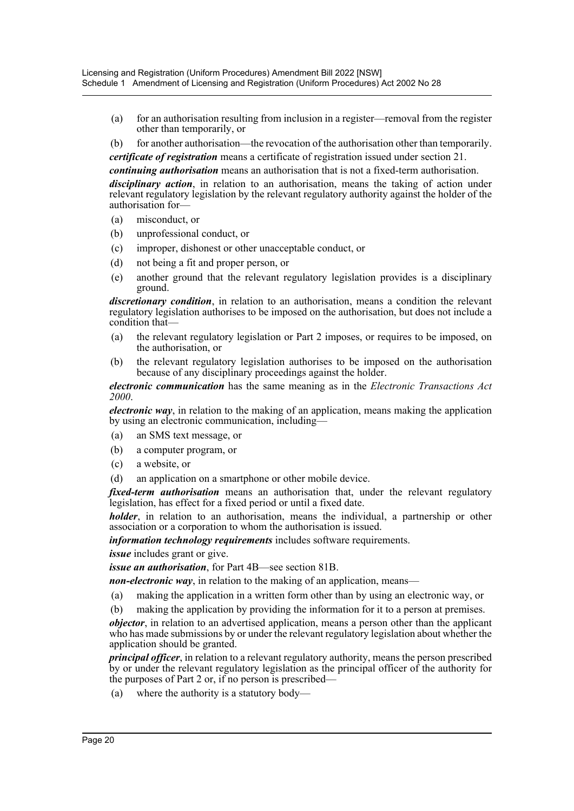- (a) for an authorisation resulting from inclusion in a register—removal from the register other than temporarily, or
- (b) for another authorisation—the revocation of the authorisation other than temporarily.

*certificate of registration* means a certificate of registration issued under section 21.

*continuing authorisation* means an authorisation that is not a fixed-term authorisation. *disciplinary action*, in relation to an authorisation, means the taking of action under relevant regulatory legislation by the relevant regulatory authority against the holder of the authorisation for—

- (a) misconduct, or
- (b) unprofessional conduct, or
- (c) improper, dishonest or other unacceptable conduct, or
- (d) not being a fit and proper person, or
- (e) another ground that the relevant regulatory legislation provides is a disciplinary ground.

*discretionary condition*, in relation to an authorisation, means a condition the relevant regulatory legislation authorises to be imposed on the authorisation, but does not include a condition that-

- (a) the relevant regulatory legislation or Part 2 imposes, or requires to be imposed, on the authorisation, or
- (b) the relevant regulatory legislation authorises to be imposed on the authorisation because of any disciplinary proceedings against the holder.

*electronic communication* has the same meaning as in the *Electronic Transactions Act 2000*.

*electronic way*, in relation to the making of an application, means making the application by using an electronic communication, including—

- (a) an SMS text message, or
- (b) a computer program, or
- (c) a website, or
- (d) an application on a smartphone or other mobile device.

*fixed-term authorisation* means an authorisation that, under the relevant regulatory legislation, has effect for a fixed period or until a fixed date.

*holder*, in relation to an authorisation, means the individual, a partnership or other association or a corporation to whom the authorisation is issued.

*information technology requirements* includes software requirements.

*issue* includes grant or give.

*issue an authorisation*, for Part 4B—see section 81B.

*non-electronic way*, in relation to the making of an application, means—

- (a) making the application in a written form other than by using an electronic way, or
- (b) making the application by providing the information for it to a person at premises.

*objector*, in relation to an advertised application, means a person other than the applicant who has made submissions by or under the relevant regulatory legislation about whether the application should be granted.

*principal officer*, in relation to a relevant regulatory authority, means the person prescribed by or under the relevant regulatory legislation as the principal officer of the authority for the purposes of Part 2 or, if no person is prescribed—

(a) where the authority is a statutory body—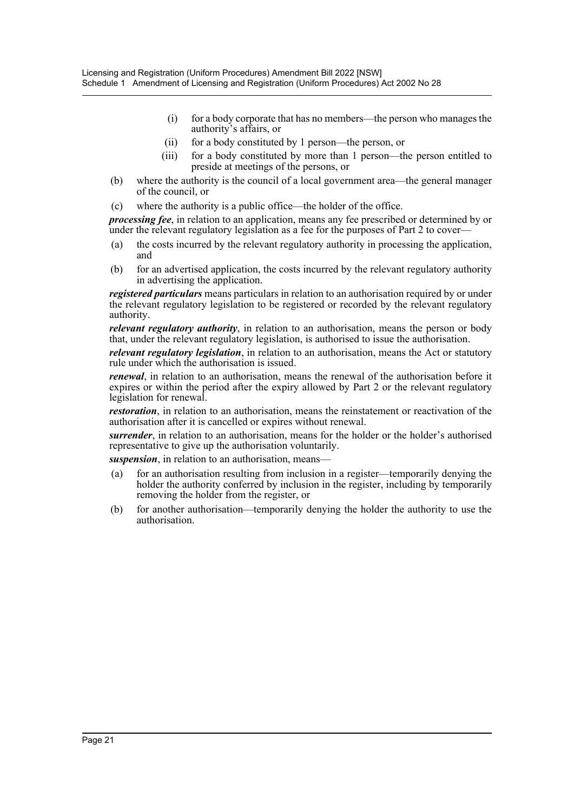- (i) for a body corporate that has no members—the person who manages the authority's affairs, or
- (ii) for a body constituted by 1 person—the person, or
- (iii) for a body constituted by more than 1 person—the person entitled to preside at meetings of the persons, or
- (b) where the authority is the council of a local government area—the general manager of the council, or
- (c) where the authority is a public office—the holder of the office.

*processing fee*, in relation to an application, means any fee prescribed or determined by or under the relevant regulatory legislation as a fee for the purposes of Part 2 to cover—

- (a) the costs incurred by the relevant regulatory authority in processing the application, and
- (b) for an advertised application, the costs incurred by the relevant regulatory authority in advertising the application.

*registered particulars* means particulars in relation to an authorisation required by or under the relevant regulatory legislation to be registered or recorded by the relevant regulatory authority.

*relevant regulatory authority*, in relation to an authorisation, means the person or body that, under the relevant regulatory legislation, is authorised to issue the authorisation.

*relevant regulatory legislation*, in relation to an authorisation, means the Act or statutory rule under which the authorisation is issued.

*renewal*, in relation to an authorisation, means the renewal of the authorisation before it expires or within the period after the expiry allowed by Part 2 or the relevant regulatory legislation for renewal.

*restoration*, in relation to an authorisation, means the reinstatement or reactivation of the authorisation after it is cancelled or expires without renewal.

*surrender*, in relation to an authorisation, means for the holder or the holder's authorised representative to give up the authorisation voluntarily.

*suspension*, in relation to an authorisation, means—

- (a) for an authorisation resulting from inclusion in a register—temporarily denying the holder the authority conferred by inclusion in the register, including by temporarily removing the holder from the register, or
- (b) for another authorisation—temporarily denying the holder the authority to use the authorisation.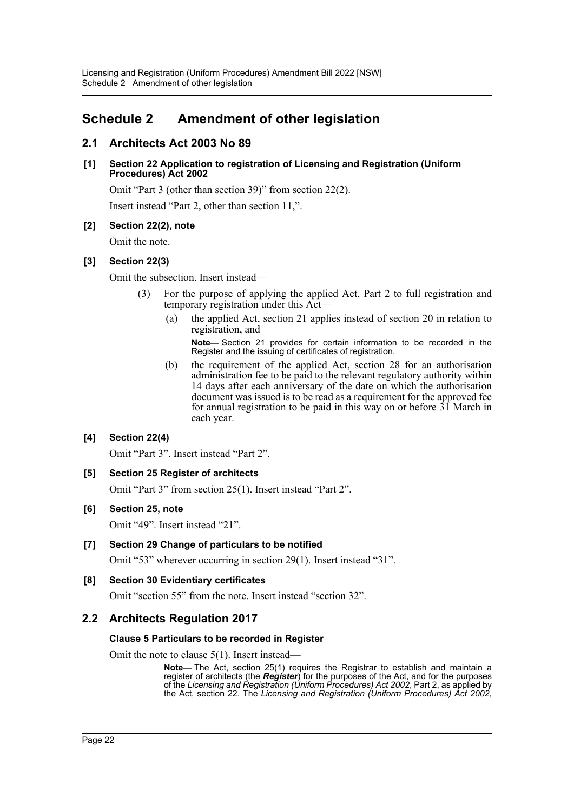# <span id="page-22-0"></span>**Schedule 2 Amendment of other legislation**

# **2.1 Architects Act 2003 No 89**

## **[1] Section 22 Application to registration of Licensing and Registration (Uniform Procedures) Act 2002**

Omit "Part 3 (other than section 39)" from section 22(2).

Insert instead "Part 2, other than section 11,".

# **[2] Section 22(2), note**

Omit the note.

## **[3] Section 22(3)**

Omit the subsection. Insert instead—

- (3) For the purpose of applying the applied Act, Part 2 to full registration and temporary registration under this Act—
	- (a) the applied Act, section 21 applies instead of section 20 in relation to registration, and

**Note—** Section 21 provides for certain information to be recorded in the Register and the issuing of certificates of registration.

(b) the requirement of the applied Act, section 28 for an authorisation administration fee to be paid to the relevant regulatory authority within 14 days after each anniversary of the date on which the authorisation document was issued is to be read as a requirement for the approved fee for annual registration to be paid in this way on or before 31 March in each year.

# **[4] Section 22(4)**

Omit "Part 3". Insert instead "Part 2".

# **[5] Section 25 Register of architects**

Omit "Part 3" from section 25(1). Insert instead "Part 2".

# **[6] Section 25, note**

Omit "49". Insert instead "21".

# **[7] Section 29 Change of particulars to be notified**

Omit "53" wherever occurring in section 29(1). Insert instead "31".

# **[8] Section 30 Evidentiary certificates**

Omit "section 55" from the note. Insert instead "section 32".

# **2.2 Architects Regulation 2017**

#### **Clause 5 Particulars to be recorded in Register**

Omit the note to clause 5(1). Insert instead—

**Note—** The Act, section 25(1) requires the Registrar to establish and maintain a register of architects (the *Register*) for the purposes of the Act, and for the purposes of the *Licensing and Registration (Uniform Procedures) Act 2002*, Part 2, as applied by the Act, section 22. The *Licensing and Registration (Uniform Procedures) Act 2002*,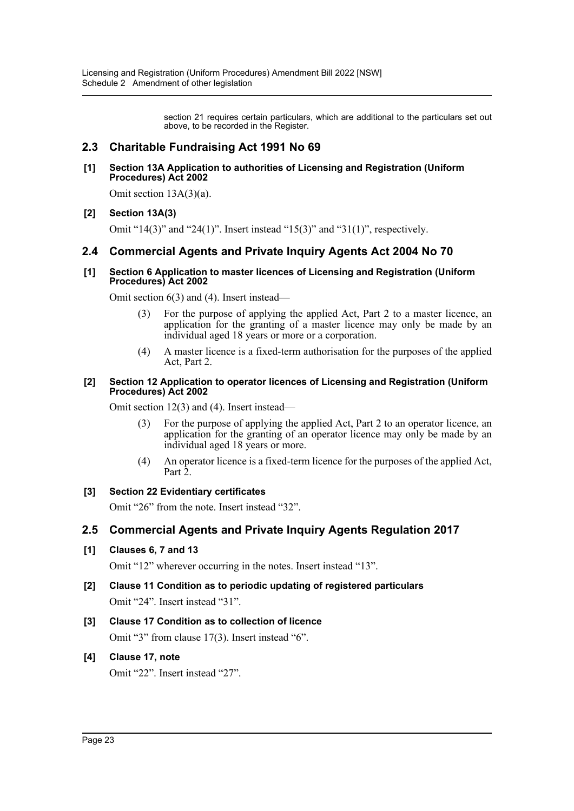section 21 requires certain particulars, which are additional to the particulars set out above, to be recorded in the Register.

# **2.3 Charitable Fundraising Act 1991 No 69**

#### **[1] Section 13A Application to authorities of Licensing and Registration (Uniform Procedures) Act 2002**

Omit section 13A(3)(a).

# **[2] Section 13A(3)**

Omit "14(3)" and "24(1)". Insert instead "15(3)" and "31(1)", respectively.

# **2.4 Commercial Agents and Private Inquiry Agents Act 2004 No 70**

#### **[1] Section 6 Application to master licences of Licensing and Registration (Uniform Procedures) Act 2002**

Omit section 6(3) and (4). Insert instead—

- (3) For the purpose of applying the applied Act, Part 2 to a master licence, an application for the granting of a master licence may only be made by an individual aged 18 years or more or a corporation.
- (4) A master licence is a fixed-term authorisation for the purposes of the applied Act, Part 2.

#### **[2] Section 12 Application to operator licences of Licensing and Registration (Uniform Procedures) Act 2002**

Omit section 12(3) and (4). Insert instead—

- (3) For the purpose of applying the applied Act, Part 2 to an operator licence, an application for the granting of an operator licence may only be made by an individual aged 18 years or more.
- (4) An operator licence is a fixed-term licence for the purposes of the applied Act, Part 2.

# **[3] Section 22 Evidentiary certificates**

Omit "26" from the note. Insert instead "32".

# **2.5 Commercial Agents and Private Inquiry Agents Regulation 2017**

# **[1] Clauses 6, 7 and 13**

Omit "12" wherever occurring in the notes. Insert instead "13".

**[2] Clause 11 Condition as to periodic updating of registered particulars** Omit "24". Insert instead "31".

# **[3] Clause 17 Condition as to collection of licence**

Omit "3" from clause 17(3). Insert instead "6".

# **[4] Clause 17, note**

Omit "22". Insert instead "27".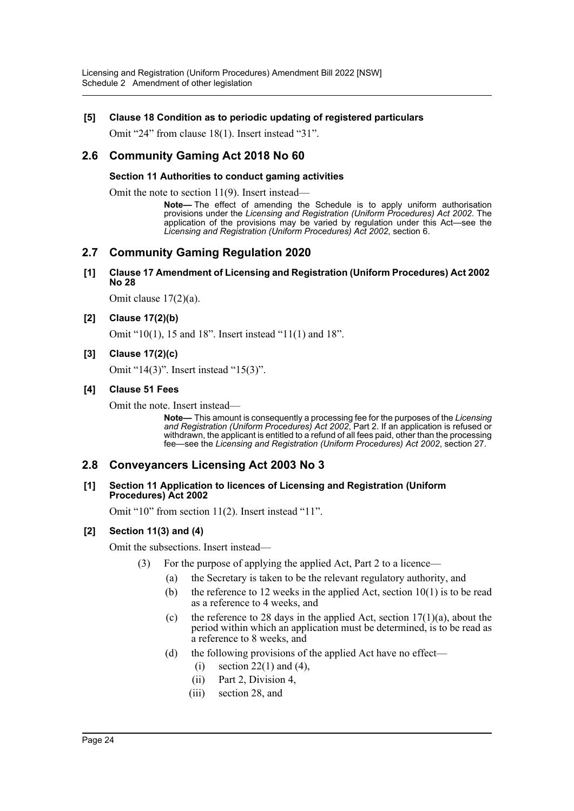## **[5] Clause 18 Condition as to periodic updating of registered particulars**

Omit "24" from clause 18(1). Insert instead "31".

# **2.6 Community Gaming Act 2018 No 60**

#### **Section 11 Authorities to conduct gaming activities**

Omit the note to section 11(9). Insert instead—

**Note—** The effect of amending the Schedule is to apply uniform authorisation provisions under the *Licensing and Registration (Uniform Procedures) Act 2002*. The application of the provisions may be varied by regulation under this Act—see the *Licensing and Registration (Uniform Procedures) Act 2002*, section 6.

# **2.7 Community Gaming Regulation 2020**

#### **[1] Clause 17 Amendment of Licensing and Registration (Uniform Procedures) Act 2002 No 28**

Omit clause 17(2)(a).

#### **[2] Clause 17(2)(b)**

Omit "10(1), 15 and 18". Insert instead "11(1) and 18".

#### **[3] Clause 17(2)(c)**

Omit "14(3)". Insert instead "15(3)".

#### **[4] Clause 51 Fees**

Omit the note. Insert instead—

**Note—** This amount is consequently a processing fee for the purposes of the *Licensing and Registration (Uniform Procedures) Act 2002*, Part 2. If an application is refused or withdrawn, the applicant is entitled to a refund of all fees paid, other than the processing fee—see the *Licensing and Registration (Uniform Procedures) Act 2002*, section 27.

# **2.8 Conveyancers Licensing Act 2003 No 3**

#### **[1] Section 11 Application to licences of Licensing and Registration (Uniform Procedures) Act 2002**

Omit "10" from section 11(2). Insert instead "11".

#### **[2] Section 11(3) and (4)**

Omit the subsections. Insert instead—

- (3) For the purpose of applying the applied Act, Part 2 to a licence—
	- (a) the Secretary is taken to be the relevant regulatory authority, and
	- (b) the reference to 12 weeks in the applied Act, section  $10(1)$  is to be read as a reference to 4 weeks, and
	- (c) the reference to 28 days in the applied Act, section  $17(1)(a)$ , about the period within which an application must be determined, is to be read as a reference to 8 weeks, and
	- (d) the following provisions of the applied Act have no effect—
		- (i) section  $22(1)$  and  $(4)$ ,
		- (ii) Part 2, Division 4,
		- (iii) section 28, and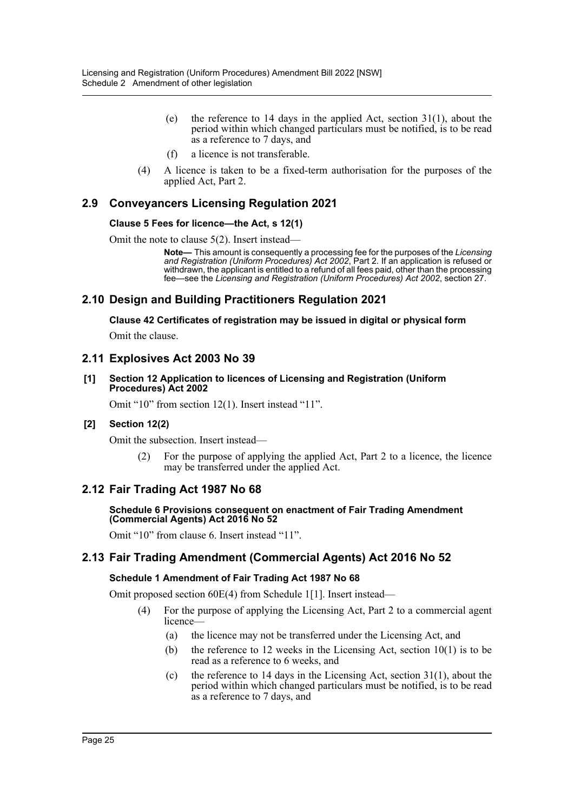- (e) the reference to 14 days in the applied Act, section  $31(1)$ , about the period within which changed particulars must be notified, is to be read as a reference to 7 days, and
- (f) a licence is not transferable.
- (4) A licence is taken to be a fixed-term authorisation for the purposes of the applied Act, Part 2.

# **2.9 Conveyancers Licensing Regulation 2021**

## **Clause 5 Fees for licence—the Act, s 12(1)**

Omit the note to clause 5(2). Insert instead—

**Note—** This amount is consequently a processing fee for the purposes of the *Licensing and Registration (Uniform Procedures) Act 2002*, Part 2. If an application is refused or withdrawn, the applicant is entitled to a refund of all fees paid, other than the processing fee—see the *Licensing and Registration (Uniform Procedures) Act 2002*, section 27.

# **2.10 Design and Building Practitioners Regulation 2021**

**Clause 42 Certificates of registration may be issued in digital or physical form**

Omit the clause.

# **2.11 Explosives Act 2003 No 39**

**[1] Section 12 Application to licences of Licensing and Registration (Uniform Procedures) Act 2002**

Omit "10" from section 12(1). Insert instead "11".

# **[2] Section 12(2)**

Omit the subsection. Insert instead—

(2) For the purpose of applying the applied Act, Part 2 to a licence, the licence may be transferred under the applied Act.

# **2.12 Fair Trading Act 1987 No 68**

#### **Schedule 6 Provisions consequent on enactment of Fair Trading Amendment (Commercial Agents) Act 2016 No 52**

Omit "10" from clause 6. Insert instead "11".

# **2.13 Fair Trading Amendment (Commercial Agents) Act 2016 No 52**

#### **Schedule 1 Amendment of Fair Trading Act 1987 No 68**

Omit proposed section 60E(4) from Schedule 1[1]. Insert instead—

- (4) For the purpose of applying the Licensing Act, Part 2 to a commercial agent licence—
	- (a) the licence may not be transferred under the Licensing Act, and
	- (b) the reference to 12 weeks in the Licensing Act, section  $10(1)$  is to be read as a reference to 6 weeks, and
	- (c) the reference to 14 days in the Licensing Act, section  $31(1)$ , about the period within which changed particulars must be notified, is to be read as a reference to 7 days, and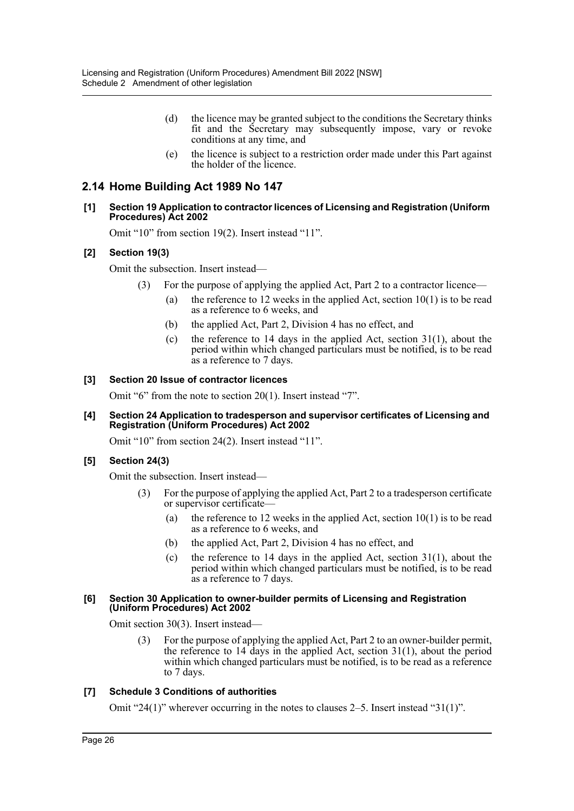- (d) the licence may be granted subject to the conditions the Secretary thinks fit and the Secretary may subsequently impose, vary or revoke conditions at any time, and
- (e) the licence is subject to a restriction order made under this Part against the holder of the licence.

# **2.14 Home Building Act 1989 No 147**

#### **[1] Section 19 Application to contractor licences of Licensing and Registration (Uniform Procedures) Act 2002**

Omit "10" from section 19(2). Insert instead "11".

#### **[2] Section 19(3)**

Omit the subsection. Insert instead—

- (3) For the purpose of applying the applied Act, Part 2 to a contractor licence—
	- (a) the reference to 12 weeks in the applied Act, section  $10(1)$  is to be read as a reference to 6 weeks, and
	- (b) the applied Act, Part 2, Division 4 has no effect, and
	- (c) the reference to 14 days in the applied Act, section  $31(1)$ , about the period within which changed particulars must be notified, is to be read as a reference to 7 days.

#### **[3] Section 20 Issue of contractor licences**

Omit "6" from the note to section 20(1). Insert instead "7".

#### **[4] Section 24 Application to tradesperson and supervisor certificates of Licensing and Registration (Uniform Procedures) Act 2002**

Omit "10" from section 24(2). Insert instead "11".

#### **[5] Section 24(3)**

Omit the subsection. Insert instead—

- (3) For the purpose of applying the applied Act, Part 2 to a tradesperson certificate or supervisor certificate—
	- (a) the reference to 12 weeks in the applied Act, section  $10(1)$  is to be read as a reference to 6 weeks, and
	- (b) the applied Act, Part 2, Division 4 has no effect, and
	- (c) the reference to 14 days in the applied Act, section  $31(1)$ , about the period within which changed particulars must be notified, is to be read as a reference to 7 days.

#### **[6] Section 30 Application to owner-builder permits of Licensing and Registration (Uniform Procedures) Act 2002**

Omit section 30(3). Insert instead—

(3) For the purpose of applying the applied Act, Part 2 to an owner-builder permit, the reference to  $14$  days in the applied Act, section  $31(1)$ , about the period within which changed particulars must be notified, is to be read as a reference to 7 days.

#### **[7] Schedule 3 Conditions of authorities**

Omit "24(1)" wherever occurring in the notes to clauses 2–5. Insert instead "31(1)".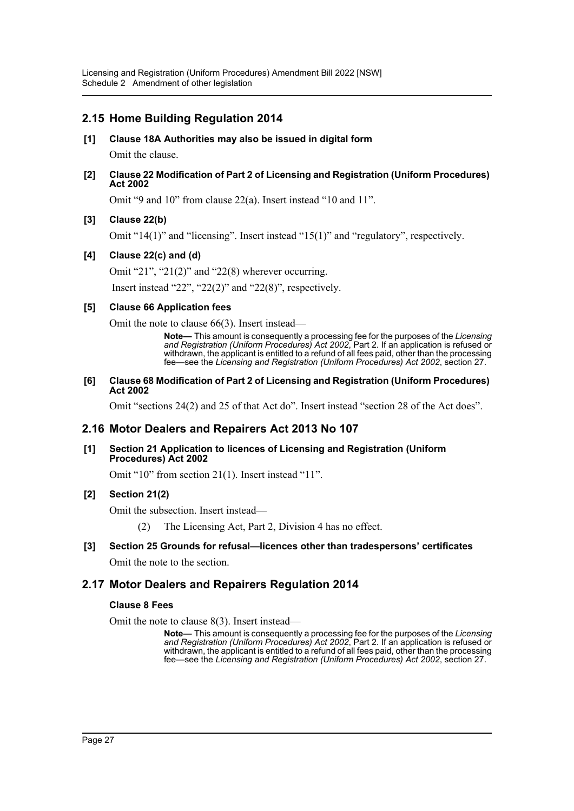# **2.15 Home Building Regulation 2014**

- **[1] Clause 18A Authorities may also be issued in digital form** Omit the clause.
- **[2] Clause 22 Modification of Part 2 of Licensing and Registration (Uniform Procedures) Act 2002**

Omit "9 and 10" from clause 22(a). Insert instead "10 and 11".

## **[3] Clause 22(b)**

Omit "14(1)" and "licensing". Insert instead "15(1)" and "regulatory", respectively.

## **[4] Clause 22(c) and (d)**

Omit "21", "21(2)" and "22(8) wherever occurring.

Insert instead "22", "22(2)" and "22(8)", respectively.

#### **[5] Clause 66 Application fees**

Omit the note to clause 66(3). Insert instead—

**Note—** This amount is consequently a processing fee for the purposes of the *Licensing and Registration (Uniform Procedures) Act 2002*, Part 2. If an application is refused or withdrawn, the applicant is entitled to a refund of all fees paid, other than the processing fee—see the *Licensing and Registration (Uniform Procedures) Act 2002*, section 27.

#### **[6] Clause 68 Modification of Part 2 of Licensing and Registration (Uniform Procedures) Act 2002**

Omit "sections 24(2) and 25 of that Act do". Insert instead "section 28 of the Act does".

# **2.16 Motor Dealers and Repairers Act 2013 No 107**

#### **[1] Section 21 Application to licences of Licensing and Registration (Uniform Procedures) Act 2002**

Omit "10" from section 21(1). Insert instead "11".

#### **[2] Section 21(2)**

Omit the subsection. Insert instead—

(2) The Licensing Act, Part 2, Division 4 has no effect.

# **[3] Section 25 Grounds for refusal—licences other than tradespersons' certificates**

Omit the note to the section.

# **2.17 Motor Dealers and Repairers Regulation 2014**

#### **Clause 8 Fees**

Omit the note to clause 8(3). Insert instead—

**Note—** This amount is consequently a processing fee for the purposes of the *Licensing and Registration (Uniform Procedures) Act 2002*, Part 2. If an application is refused or withdrawn, the applicant is entitled to a refund of all fees paid, other than the processing fee—see the *Licensing and Registration (Uniform Procedures) Act 2002*, section 27.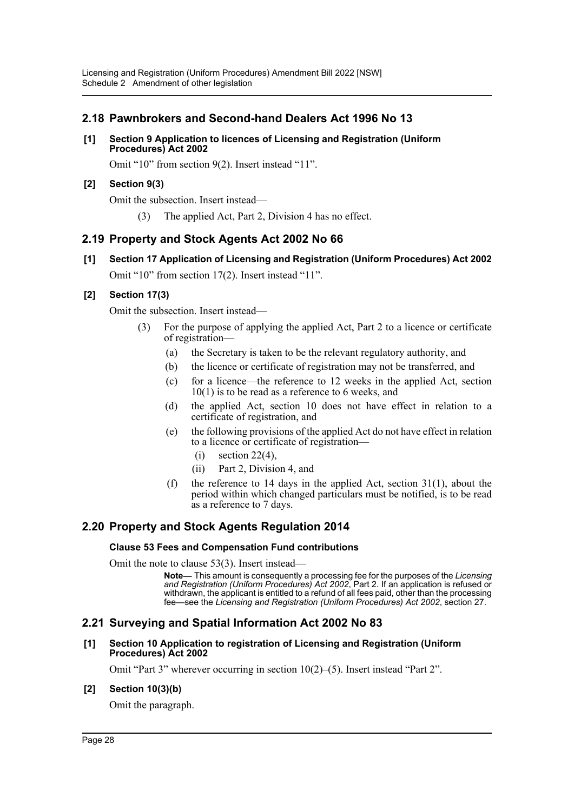# **2.18 Pawnbrokers and Second-hand Dealers Act 1996 No 13**

#### **[1] Section 9 Application to licences of Licensing and Registration (Uniform Procedures) Act 2002**

Omit "10" from section 9(2). Insert instead "11".

# **[2] Section 9(3)**

Omit the subsection. Insert instead—

(3) The applied Act, Part 2, Division 4 has no effect.

# **2.19 Property and Stock Agents Act 2002 No 66**

**[1] Section 17 Application of Licensing and Registration (Uniform Procedures) Act 2002** Omit "10" from section 17(2). Insert instead "11".

# **[2] Section 17(3)**

Omit the subsection. Insert instead—

- (3) For the purpose of applying the applied Act, Part 2 to a licence or certificate of registration—
	- (a) the Secretary is taken to be the relevant regulatory authority, and
	- (b) the licence or certificate of registration may not be transferred, and
	- (c) for a licence—the reference to 12 weeks in the applied Act, section 10(1) is to be read as a reference to 6 weeks, and
	- (d) the applied Act, section 10 does not have effect in relation to a certificate of registration, and
	- (e) the following provisions of the applied Act do not have effect in relation to a licence or certificate of registration—
		- $(i)$  section 22(4),
		- (ii) Part 2, Division 4, and
	- (f) the reference to 14 days in the applied Act, section 31(1), about the period within which changed particulars must be notified, is to be read as a reference to 7 days.

# **2.20 Property and Stock Agents Regulation 2014**

#### **Clause 53 Fees and Compensation Fund contributions**

Omit the note to clause 53(3). Insert instead—

**Note—** This amount is consequently a processing fee for the purposes of the *Licensing and Registration (Uniform Procedures) Act 2002*, Part 2. If an application is refused or withdrawn, the applicant is entitled to a refund of all fees paid, other than the processing fee—see the *Licensing and Registration (Uniform Procedures) Act 2002*, section 27.

# **2.21 Surveying and Spatial Information Act 2002 No 83**

#### **[1] Section 10 Application to registration of Licensing and Registration (Uniform Procedures) Act 2002**

Omit "Part 3" wherever occurring in section 10(2)–(5). Insert instead "Part 2".

#### **[2] Section 10(3)(b)**

Omit the paragraph.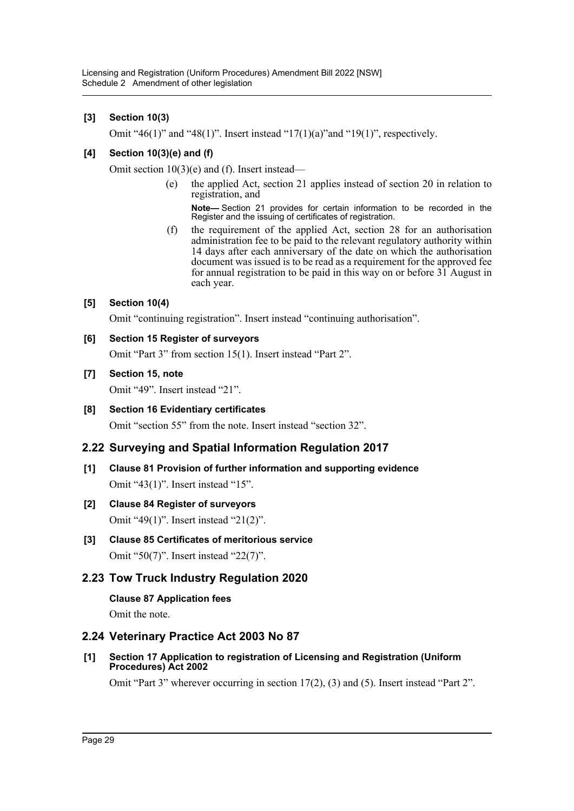# **[3] Section 10(3)**

Omit "46(1)" and "48(1)". Insert instead "17(1)(a)"and "19(1)", respectively.

# **[4] Section 10(3)(e) and (f)**

Omit section 10(3)(e) and (f). Insert instead—

(e) the applied Act, section 21 applies instead of section 20 in relation to registration, and

**Note—** Section 21 provides for certain information to be recorded in the Register and the issuing of certificates of registration.

(f) the requirement of the applied Act, section 28 for an authorisation administration fee to be paid to the relevant regulatory authority within 14 days after each anniversary of the date on which the authorisation document was issued is to be read as a requirement for the approved fee for annual registration to be paid in this way on or before 31 August in each year.

# **[5] Section 10(4)**

Omit "continuing registration". Insert instead "continuing authorisation".

## **[6] Section 15 Register of surveyors**

Omit "Part 3" from section 15(1). Insert instead "Part 2".

## **[7] Section 15, note**

Omit "49". Insert instead "21".

## **[8] Section 16 Evidentiary certificates**

Omit "section 55" from the note. Insert instead "section 32".

# **2.22 Surveying and Spatial Information Regulation 2017**

**[1] Clause 81 Provision of further information and supporting evidence** Omit "43(1)". Insert instead "15".

# **[2] Clause 84 Register of surveyors**

Omit "49(1)". Insert instead "21(2)".

**[3] Clause 85 Certificates of meritorious service** Omit "50(7)". Insert instead "22(7)".

# **2.23 Tow Truck Industry Regulation 2020**

# **Clause 87 Application fees**

Omit the note.

# **2.24 Veterinary Practice Act 2003 No 87**

**[1] Section 17 Application to registration of Licensing and Registration (Uniform Procedures) Act 2002** 

Omit "Part 3" wherever occurring in section 17(2), (3) and (5). Insert instead "Part 2".